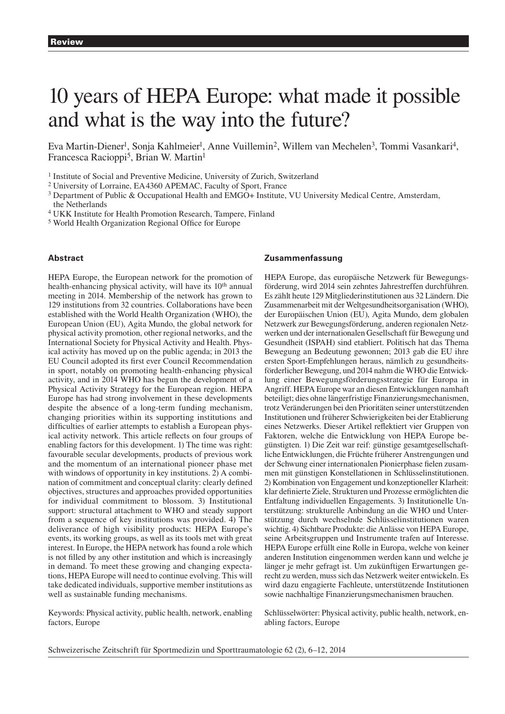# 10 years of HEPA Europe: what made it possible and what is the way into the future?

Eva Martin-Diener<sup>1</sup>, Sonja Kahlmeier<sup>1</sup>, Anne Vuillemin<sup>2</sup>, Willem van Mechelen<sup>3</sup>, Tommi Vasankari<sup>4</sup>, Francesca Racioppi<sup>5</sup>, Brian W. Martin<sup>1</sup>

<sup>1</sup> Institute of Social and Preventive Medicine, University of Zurich, Switzerland

2 University of Lorraine, EA 4360 APEMAC, Faculty of Sport, France

3 Department of Public & Occupational Health and EMGO+ Institute, VU University Medical Centre, Amsterdam, the Netherlands

4 UKK Institute for Health Promotion Research, Tampere, Finland

5 World Health Organization Regional Office for Europe

## **Abstract**

HEPA Europe, the European network for the promotion of health-enhancing physical activity, will have its 10<sup>th</sup> annual meeting in 2014. Membership of the network has grown to 129 institutions from 32 countries. Collaborations have been established with the World Health Organization (WHO), the European Union (EU), Agita Mundo, the global network for physical activity promotion, other regional networks, and the International Society for Physical Activity and Health. Physical activity has moved up on the public agenda; in 2013 the EU Council adopted its first ever Council Recommendation in sport, notably on promoting health-enhancing physical activity, and in 2014 WHO has begun the development of a Physical Activity Strategy for the European region. HEPA Europe has had strong involvement in these developments despite the absence of a long-term funding mechanism, changing priorities within its supporting institutions and difficulties of earlier attempts to establish a European physical activity network. This article reflects on four groups of enabling factors for this development. 1) The time was right: favourable secular developments, products of previous work and the momentum of an international pioneer phase met with windows of opportunity in key institutions. 2) A combination of commitment and conceptual clarity: clearly defined objectives, structures and approaches provided opportunities for individual commitment to blossom. 3) Institutional support: structural attachment to WHO and steady support from a sequence of key institutions was provided. 4) The deliverance of high visibility products: HEPA Europe's events, its working groups, as well as its tools met with great interest. In Europe, the HEPA network has found a role which is not filled by any other institution and which is increasingly in demand. To meet these growing and changing expectations, HEPA Europe will need to continue evolving. This will take dedicated individuals, supportive member institutions as well as sustainable funding mechanisms.

Keywords: Physical activity, public health, network, enabling factors, Europe

# **Zusammenfassung**

HEPA Europe, das europäische Netzwerk für Bewegungsförderung, wird 2014 sein zehntes Jahrestreffen durchführen. Es zählt heute 129 Mitgliederinstitutionen aus 32 Ländern. Die Zusammenarbeit mit der Weltgesundheitsorganisation (WHO), der Europäischen Union (EU), Agita Mundo, dem globalen Netzwerk zur Bewegungsförderung, anderen regionalen Netzwerken und der internationalen Gesellschaft für Bewegung und Gesundheit (ISPAH) sind etabliert. Politisch hat das Thema Bewegung an Bedeutung gewonnen; 2013 gab die EU ihre ersten Sport-Empfehlungen heraus, nämlich zu gesundheitsförderlicher Bewegung, und 2014 nahm die WHO die Entwicklung einer Bewegungsförderungsstrategie für Europa in Angriff. HEPA Europe war an diesen Entwicklungen namhaft beteiligt; dies ohne längerfristige Finanzierungsmechanismen, trotz Veränderungen bei den Prioritäten seiner unterstützenden Institutionen und früherer Schwierigkeiten bei der Etablierung eines Netzwerks. Dieser Artikel reflektiert vier Gruppen von Faktoren, welche die Entwicklung von HEPA Europe begünstigten. 1) Die Zeit war reif: günstige gesamtgesellschaftliche Entwicklungen, die Früchte früherer Anstrengungen und der Schwung einer internationalen Pionierphase fielen zusammen mit günstigen Konstellationen in Schlüsselinstitutionen. 2) Kombination von Engagement und konzeptioneller Klarheit: klar definierte Ziele, Strukturen und Prozesse ermöglichten die Entfaltung individuellen Engagements. 3) Institutionelle Unterstützung: strukturelle Anbindung an die WHO und Unterstützung durch wechselnde Schlüsselinstitutionen waren wichtig. 4) Sichtbare Produkte: die Anlässe von HEPA Europe, seine Arbeitsgruppen und Instrumente trafen auf Interesse. HEPA Europe erfüllt eine Rolle in Europa, welche von keiner anderen Institution eingenommen werden kann und welche je länger je mehr gefragt ist. Um zukünftigen Erwartungen gerecht zu werden, muss sich das Netzwerk weiter entwickeln. Es wird dazu engagierte Fachleute, unterstützende Institutionen sowie nachhaltige Finanzierungsmechanismen brauchen.

Schlüsselwörter: Physical activity, public health, network, enabling factors, Europe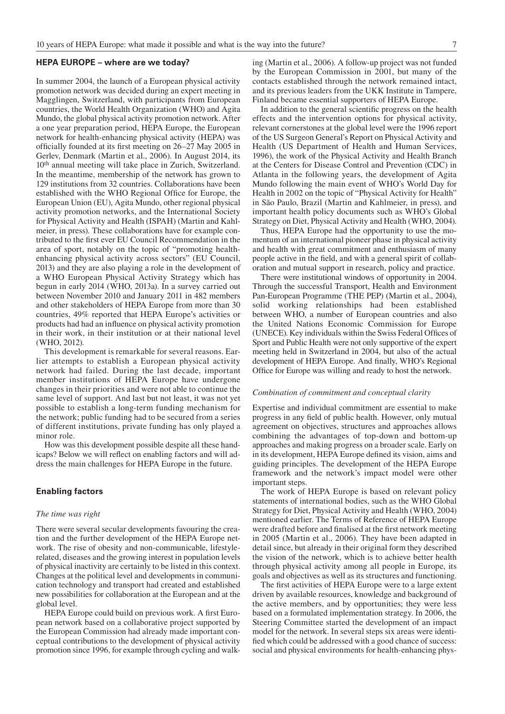### **HEPA EUROPE – where are we today?**

In summer 2004, the launch of a European physical activity promotion network was decided during an expert meeting in Magglingen, Switzerland, with participants from European countries, the World Health Organization (WHO) and Agita Mundo, the global physical activity promotion network. After a one year preparation period, HEPA Europe, the European network for health-enhancing physical activity (HEPA) was officially founded at its first meeting on 26–27 May 2005 in Gerlev, Denmark (Martin et al., 2006). In August 2014, its 10th annual meeting will take place in Zurich, Switzerland. In the meantime, membership of the network has grown to 129 institutions from 32 countries. Collaborations have been established with the WHO Regional Office for Europe, the European Union (EU), Agita Mundo, other regional physical activity promotion networks, and the International Society for Physical Activity and Health (ISPAH) (Martin and Kahlmeier, in press). These collaborations have for example contributed to the first ever EU Council Recommendation in the area of sport, notably on the topic of "promoting healthenhancing physical activity across sectors" (EU Council, 2013) and they are also playing a role in the development of a WHO European Physical Activity Strategy which has begun in early 2014 (WHO, 2013a). In a survey carried out between November 2010 and January 2011 in 482 members and other stakeholders of HEPA Europe from more than 30 countries, 49% reported that HEPA Europe's activities or products had had an influence on physical activity promotion in their work, in their institution or at their national level (WHO, 2012).

This development is remarkable for several reasons. Earlier attempts to establish a European physical activity network had failed. During the last decade, important member institutions of HEPA Europe have undergone changes in their priorities and were not able to continue the same level of support. And last but not least, it was not yet possible to establish a long-term funding mechanism for the network; public funding had to be secured from a series of different institutions, private funding has only played a minor role.

How was this development possible despite all these handicaps? Below we will reflect on enabling factors and will address the main challenges for HEPA Europe in the future.

#### **Enabling factors**

#### *The time was right*

There were several secular developments favouring the creation and the further development of the HEPA Europe network. The rise of obesity and non-communicable, lifestylerelated, diseases and the growing interest in population levels of physical inactivity are certainly to be listed in this context. Changes at the political level and developments in communication technology and transport had created and established new possibilities for collaboration at the European and at the global level.

HEPA Europe could build on previous work. A first European network based on a collaborative project supported by the European Commission had already made important conceptual contributions to the development of physical activity promotion since 1996, for example through cycling and walking (Martin et al., 2006). A follow-up project was not funded by the European Commission in 2001, but many of the contacts established through the network remained intact, and its previous leaders from the UKK Institute in Tampere, Finland became essential supporters of HEPA Europe.

In addition to the general scientific progress on the health effects and the intervention options for physical activity, relevant cornerstones at the global level were the 1996 report of the US Surgeon General's Report on Physical Activity and Health (US Department of Health and Human Services, 1996), the work of the Physical Activity and Health Branch at the Centers for Disease Control and Prevention (CDC) in Atlanta in the following years, the development of Agita Mundo following the main event of WHO's World Day for Health in 2002 on the topic of "Physical Activity for Health" in São Paulo, Brazil (Martin and Kahlmeier, in press), and important health policy documents such as WHO's Global Strategy on Diet, Physical Activity and Health (WHO, 2004).

Thus, HEPA Europe had the opportunity to use the momentum of an international pioneer phase in physical activity and health with great commitment and enthusiasm of many people active in the field, and with a general spirit of collaboration and mutual support in research, policy and practice.

There were institutional windows of opportunity in 2004. Through the successful Transport, Health and Environment Pan-European Programme (THE PEP) (Martin et al., 2004), solid working relationships had been established between WHO, a number of European countries and also the United Nations Economic Commission for Europe (UNECE). Key individuals within the Swiss Federal Offices of Sport and Public Health were not only supportive of the expert meeting held in Switzerland in 2004, but also of the actual development of HEPA Europe. And finally, WHO's Regional Office for Europe was willing and ready to host the network.

#### *Combination of commitment and conceptual clarity*

Expertise and individual commitment are essential to make progress in any field of public health. However, only mutual agreement on objectives, structures and approaches allows combining the advantages of top-down and bottom-up approaches and making progress on a broader scale. Early on in its development, HEPA Europe defined its vision, aims and guiding principles. The development of the HEPA Europe framework and the network's impact model were other important steps.

The work of HEPA Europe is based on relevant policy statements of international bodies, such as the WHO Global Strategy for Diet, Physical Activity and Health (WHO, 2004) mentioned earlier. The Terms of Reference of HEPA Europe were drafted before and finalised at the first network meeting in 2005 (Martin et al., 2006). They have been adapted in detail since, but already in their original form they described the vision of the network, which is to achieve better health through physical activity among all people in Europe, its goals and objectives as well as its structures and functioning.

The first activities of HEPA Europe were to a large extent driven by available resources, knowledge and background of the active members, and by opportunities; they were less based on a formulated implementation strategy. In 2006, the Steering Committee started the development of an impact model for the network. In several steps six areas were identified which could be addressed with a good chance of success: social and physical environments for health-enhancing phys-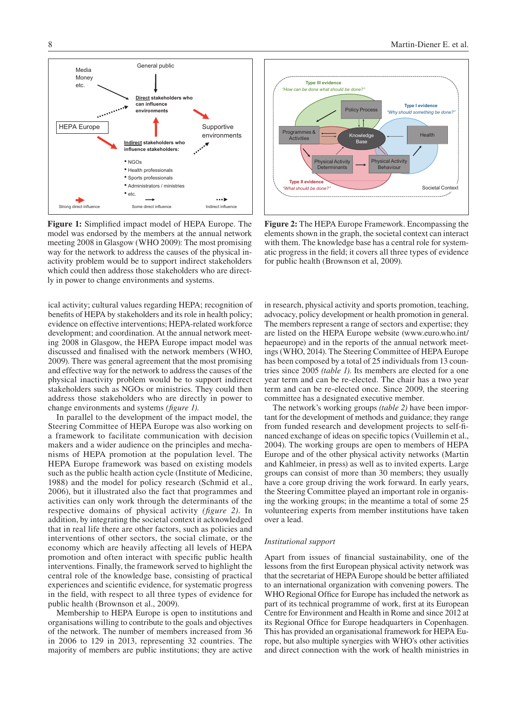

model was endorsed by the members at the annual network meeting 2008 in Glasgow (WHO 2009): The most promising way for the network to address the causes of the physical inactivity problem would be to support indirect stakeholders which could then address those stakeholders who are direct-**Figure 1:** Simplified impact model of HEPA Europe. The ly in power to change environments and systems.

ical activity; cultural values regarding HEPA; recognition of benefits of HEPA by stakeholders and its role in health policy; evidence on effective interventions; HEPA-related workforce development; and coordination. At the annual network meeting 2008 in Glasgow, the HEPA Europe impact model was discussed and finalised with the network members (WHO, 2009). There was general agreement that the most promising and effective way for the network to address the causes of the physical inactivity problem would be to support indirect stakeholders such as NGOs or ministries. They could then address those stakeholders who are directly in power to change environments and systems *(figure 1)*.

In parallel to the development of the impact model, the Steering Committee of HEPA Europe was also working on a framework to facilitate communication with decision makers and a wider audience on the principles and mechanisms of HEPA promotion at the population level. The HEPA Europe framework was based on existing models such as the public health action cycle (Institute of Medicine, 1988) and the model for policy research (Schmid et al., 2006), but it illustrated also the fact that programmes and activities can only work through the determinants of the respective domains of physical activity *(figure 2)*. In addition, by integrating the societal context it acknowledged that in real life there are other factors, such as policies and interventions of other sectors, the social climate, or the economy which are heavily affecting all levels of HEPA promotion and often interact with specific public health interventions. Finally, the framework served to highlight the central role of the knowledge base, consisting of practical experiences and scientific evidence, for systematic progress in the field, with respect to all three types of evidence for public health (Brownson et al., 2009).

Membership to HEPA Europe is open to institutions and organisations willing to contribute to the goals and objectives of the network. The number of members increased from 36 in 2006 to 129 in 2013, representing 32 countries. The majority of members are public institutions; they are active



Figure 2

**Figure 2:** The HEPA Europe Framework. Encompassing the elements shown in the graph, the societal context can interact with them. The knowledge base has a central role for systematic progress in the field; it covers all three types of evidence for public health (Brownson et al, 2009).

in research, physical activity and sports promotion, teaching, advocacy, policy development or health promotion in general. The members represent a range of sectors and expertise; they are listed on the HEPA Europe website (www.euro.who.int/ hepaeurope) and in the reports of the annual network meetings (WHO, 2014). The Steering Committee of HEPA Europe has been composed by a total of 25 individuals from 13 countries since 2005 *(table 1)*. Its members are elected for a one year term and can be re-elected. The chair has a two year term and can be re-elected once. Since 2009, the steering committee has a designated executive member.

The network's working groups *(table 2)* have been important for the development of methods and guidance; they range from funded research and development projects to self-financed exchange of ideas on specific topics (Vuillemin et al., 2004). The working groups are open to members of HEPA Europe and of the other physical activity networks (Martin and Kahlmeier, in press) as well as to invited experts. Large groups can consist of more than 30 members; they usually have a core group driving the work forward. In early years, the Steering Committee played an important role in organising the working groups; in the meantime a total of some 25 volunteering experts from member institutions have taken over a lead.

#### *Institutional support*

Apart from issues of financial sustainability, one of the lessons from the first European physical activity network was that the secretariat of HEPA Europe should be better affiliated to an international organization with convening powers. The WHO Regional Office for Europe has included the network as part of its technical programme of work, first at its European Centre for Environment and Health in Rome and since 2012 at its Regional Office for Europe headquarters in Copenhagen. This has provided an organisational framework for HEPA Europe, but also multiple synergies with WHO's other activities and direct connection with the work of health ministries in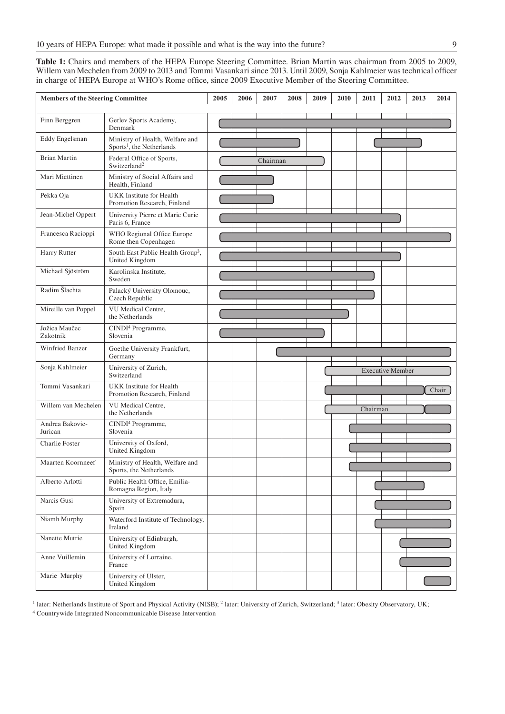**Table 1:** Chairs and members of the HEPA Europe Steering Committee. Brian Martin was chairman from 2005 to 2009, Willem van Mechelen from 2009 to 2013 and Tommi Vasankari since 2013. Until 2009, Sonja Kahlmeier was technical officer in charge of HEPA Europe at WHO's Rome office, since 2009 Executive Member of the Steering Committee.

| <b>Members of the Steering Committee</b> |                                                                                     | 2005 | 2006 | 2007     | 2008 | 2009 | 2010 | 2011     | 2012                    | 2013 | 2014  |
|------------------------------------------|-------------------------------------------------------------------------------------|------|------|----------|------|------|------|----------|-------------------------|------|-------|
| Finn Berggren                            | Gerlev Sports Academy,                                                              |      |      |          |      |      |      |          |                         |      |       |
| Eddy Engelsman                           | Denmark<br>Ministry of Health, Welfare and<br>Sports <sup>1</sup> , the Netherlands |      |      |          |      |      |      |          |                         |      |       |
| <b>Brian Martin</b>                      | Federal Office of Sports,<br>Switzerland <sup>2</sup>                               |      |      | Chairman |      |      |      |          |                         |      |       |
| Mari Miettinen                           | Ministry of Social Affairs and<br>Health, Finland                                   |      |      |          |      |      |      |          |                         |      |       |
| Pekka Oja                                | <b>UKK</b> Institute for Health<br>Promotion Research, Finland                      |      |      |          |      |      |      |          |                         |      |       |
| Jean-Michel Oppert                       | University Pierre et Marie Curie<br>Paris 6, France                                 |      |      |          |      |      |      |          |                         |      |       |
| Francesca Racioppi                       | WHO Regional Office Europe<br>Rome then Copenhagen                                  |      |      |          |      |      |      |          |                         |      |       |
| Harry Rutter                             | South East Public Health Group <sup>3</sup> ,<br>United Kingdom                     |      |      |          |      |      |      |          |                         |      |       |
| Michael Sjöström                         | Karolinska Institute,<br>Sweden                                                     |      |      |          |      |      |      |          |                         |      |       |
| Radim Šlachta                            | Palacký University Olomouc,<br>Czech Republic                                       |      |      |          |      |      |      |          |                         |      |       |
| Mireille van Poppel                      | VU Medical Centre.<br>the Netherlands                                               |      |      |          |      |      |      |          |                         |      |       |
| Jožica Maučec<br>Zakotnik                | CINDI <sup>4</sup> Programme,<br>Slovenia                                           |      |      |          |      |      |      |          |                         |      |       |
| Winfried Banzer                          | Goethe University Frankfurt,<br>Germany                                             |      |      |          |      |      |      |          |                         |      |       |
| Sonja Kahlmeier                          | University of Zurich,<br>Switzerland                                                |      |      |          |      |      |      |          | <b>Executive Member</b> |      |       |
| Tommi Vasankari                          | <b>UKK</b> Institute for Health<br>Promotion Research, Finland                      |      |      |          |      |      |      |          |                         |      | Chair |
| Willem van Mechelen                      | VU Medical Centre,<br>the Netherlands                                               |      |      |          |      |      |      | Chairman |                         |      |       |
| Andrea Bakovic-<br>Jurican               | CINDI <sup>4</sup> Programme,<br>Slovenia                                           |      |      |          |      |      |      |          |                         |      |       |
| <b>Charlie Foster</b>                    | University of Oxford,<br>United Kingdom                                             |      |      |          |      |      |      |          |                         |      |       |
| Maarten Koornneef                        | Ministry of Health, Welfare and<br>Sports, the Netherlands                          |      |      |          |      |      |      |          |                         |      |       |
| Alberto Arlotti                          | Public Health Office, Emilia-<br>Romagna Region, Italy                              |      |      |          |      |      |      |          |                         |      |       |
| Narcis Gusi                              | University of Extremadura,<br>Spain                                                 |      |      |          |      |      |      |          |                         |      |       |
| Niamh Murphy                             | Waterford Institute of Technology,<br>Ireland                                       |      |      |          |      |      |      |          |                         |      |       |
| Nanette Mutrie                           | University of Edinburgh,<br>United Kingdom                                          |      |      |          |      |      |      |          |                         |      |       |
| Anne Vuillemin                           | University of Lorraine,<br>France                                                   |      |      |          |      |      |      |          |                         |      |       |
| Marie Murphy                             | University of Ulster,<br>United Kingdom                                             |      |      |          |      |      |      |          |                         |      |       |

<sup>1</sup> later: Netherlands Institute of Sport and Physical Activity (NISB); <sup>2</sup> later: University of Zurich, Switzerland; <sup>3</sup> later: Obesity Observatory, UK;

4 Countrywide Integrated Noncommunicable Disease Intervention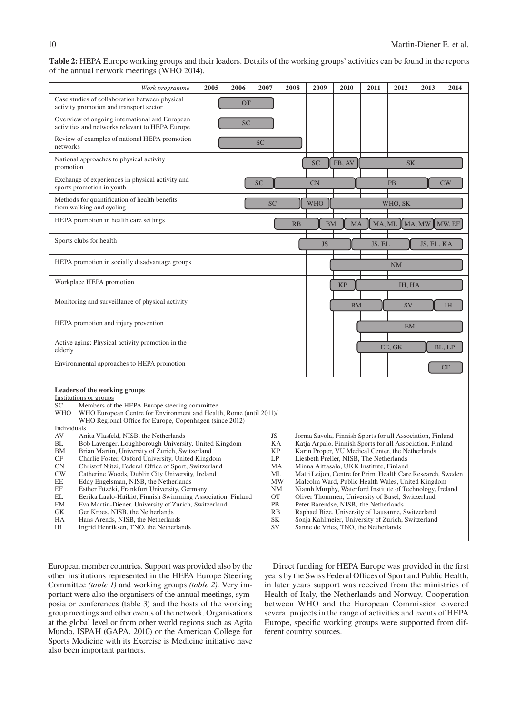**Table 2:** HEPA Europe working groups and their leaders. Details of the working groups' activities can be found in the reports of the annual network meetings (WHO 2014).

| Work programme                                                                                                                                                                                                                                                                                                                                                                                                                                                                                                                                                                                                                                                                                                                                                                                                                                                                                                                                                                                                                     | 2005                                                                                     | 2006      | 2007      | 2008                                                                                                                                                                                                                                                                                                                                                                                                                                                                                                                                                                                                                                                                                             | 2009       | 2010      | 2011   | 2012      | 2013       | 2014                  |
|------------------------------------------------------------------------------------------------------------------------------------------------------------------------------------------------------------------------------------------------------------------------------------------------------------------------------------------------------------------------------------------------------------------------------------------------------------------------------------------------------------------------------------------------------------------------------------------------------------------------------------------------------------------------------------------------------------------------------------------------------------------------------------------------------------------------------------------------------------------------------------------------------------------------------------------------------------------------------------------------------------------------------------|------------------------------------------------------------------------------------------|-----------|-----------|--------------------------------------------------------------------------------------------------------------------------------------------------------------------------------------------------------------------------------------------------------------------------------------------------------------------------------------------------------------------------------------------------------------------------------------------------------------------------------------------------------------------------------------------------------------------------------------------------------------------------------------------------------------------------------------------------|------------|-----------|--------|-----------|------------|-----------------------|
| Case studies of collaboration between physical<br>activity promotion and transport sector                                                                                                                                                                                                                                                                                                                                                                                                                                                                                                                                                                                                                                                                                                                                                                                                                                                                                                                                          |                                                                                          | <b>OT</b> |           |                                                                                                                                                                                                                                                                                                                                                                                                                                                                                                                                                                                                                                                                                                  |            |           |        |           |            |                       |
| Overview of ongoing international and European<br>activities and networks relevant to HEPA Europe                                                                                                                                                                                                                                                                                                                                                                                                                                                                                                                                                                                                                                                                                                                                                                                                                                                                                                                                  |                                                                                          | <b>SC</b> |           |                                                                                                                                                                                                                                                                                                                                                                                                                                                                                                                                                                                                                                                                                                  |            |           |        |           |            |                       |
| Review of examples of national HEPA promotion<br>networks                                                                                                                                                                                                                                                                                                                                                                                                                                                                                                                                                                                                                                                                                                                                                                                                                                                                                                                                                                          |                                                                                          |           | <b>SC</b> |                                                                                                                                                                                                                                                                                                                                                                                                                                                                                                                                                                                                                                                                                                  |            |           |        |           |            |                       |
| National approaches to physical activity<br>promotion                                                                                                                                                                                                                                                                                                                                                                                                                                                                                                                                                                                                                                                                                                                                                                                                                                                                                                                                                                              |                                                                                          |           |           |                                                                                                                                                                                                                                                                                                                                                                                                                                                                                                                                                                                                                                                                                                  | <b>SC</b>  | PB, AV    |        | <b>SK</b> |            |                       |
| Exchange of experiences in physical activity and<br>sports promotion in youth                                                                                                                                                                                                                                                                                                                                                                                                                                                                                                                                                                                                                                                                                                                                                                                                                                                                                                                                                      |                                                                                          |           | <b>SC</b> |                                                                                                                                                                                                                                                                                                                                                                                                                                                                                                                                                                                                                                                                                                  | <b>CN</b>  |           |        | <b>PB</b> |            | CW                    |
| Methods for quantification of health benefits<br>from walking and cycling                                                                                                                                                                                                                                                                                                                                                                                                                                                                                                                                                                                                                                                                                                                                                                                                                                                                                                                                                          |                                                                                          |           | <b>SC</b> |                                                                                                                                                                                                                                                                                                                                                                                                                                                                                                                                                                                                                                                                                                  | <b>WHO</b> |           |        | WHO, SK   |            |                       |
| HEPA promotion in health care settings                                                                                                                                                                                                                                                                                                                                                                                                                                                                                                                                                                                                                                                                                                                                                                                                                                                                                                                                                                                             |                                                                                          |           |           | RB                                                                                                                                                                                                                                                                                                                                                                                                                                                                                                                                                                                                                                                                                               | <b>BM</b>  | MA        | MA, ML |           | MA, MW     | $M$ <sub>W</sub> , EF |
| Sports clubs for health                                                                                                                                                                                                                                                                                                                                                                                                                                                                                                                                                                                                                                                                                                                                                                                                                                                                                                                                                                                                            |                                                                                          |           |           |                                                                                                                                                                                                                                                                                                                                                                                                                                                                                                                                                                                                                                                                                                  | <b>JS</b>  |           | JS, EL |           | JS, EL, KA |                       |
| HEPA promotion in socially disadvantage groups                                                                                                                                                                                                                                                                                                                                                                                                                                                                                                                                                                                                                                                                                                                                                                                                                                                                                                                                                                                     |                                                                                          |           |           |                                                                                                                                                                                                                                                                                                                                                                                                                                                                                                                                                                                                                                                                                                  |            |           |        | NM        |            |                       |
| Workplace HEPA promotion                                                                                                                                                                                                                                                                                                                                                                                                                                                                                                                                                                                                                                                                                                                                                                                                                                                                                                                                                                                                           |                                                                                          |           |           |                                                                                                                                                                                                                                                                                                                                                                                                                                                                                                                                                                                                                                                                                                  |            | <b>KP</b> |        | IH, HA    |            |                       |
| Monitoring and surveillance of physical activity                                                                                                                                                                                                                                                                                                                                                                                                                                                                                                                                                                                                                                                                                                                                                                                                                                                                                                                                                                                   |                                                                                          |           |           |                                                                                                                                                                                                                                                                                                                                                                                                                                                                                                                                                                                                                                                                                                  |            | <b>BM</b> |        | SV        |            | <b>IH</b>             |
| HEPA promotion and injury prevention                                                                                                                                                                                                                                                                                                                                                                                                                                                                                                                                                                                                                                                                                                                                                                                                                                                                                                                                                                                               |                                                                                          |           |           |                                                                                                                                                                                                                                                                                                                                                                                                                                                                                                                                                                                                                                                                                                  |            |           |        | EM        |            |                       |
| Active aging: Physical activity promotion in the<br>elderly                                                                                                                                                                                                                                                                                                                                                                                                                                                                                                                                                                                                                                                                                                                                                                                                                                                                                                                                                                        |                                                                                          |           |           |                                                                                                                                                                                                                                                                                                                                                                                                                                                                                                                                                                                                                                                                                                  |            |           |        | EE, GK    |            | BL, LP                |
| Environmental approaches to HEPA promotion                                                                                                                                                                                                                                                                                                                                                                                                                                                                                                                                                                                                                                                                                                                                                                                                                                                                                                                                                                                         |                                                                                          |           |           |                                                                                                                                                                                                                                                                                                                                                                                                                                                                                                                                                                                                                                                                                                  |            |           |        |           |            | CF                    |
| Leaders of the working groups<br>Institutions or groups<br>Members of the HEPA Europe steering committee<br>SС<br>WHO European Centre for Environment and Health, Rome (until 2011)/<br>WHO<br>WHO Regional Office for Europe, Copenhagen (since 2012)<br>Individuals<br>AV<br>Anita Vlasfeld, NISB, the Netherlands<br>Bob Lavenger, Loughborough University, United Kingdom<br>BL<br>Brian Martin, University of Zurich, Switzerland<br>BM<br>CF<br>Charlie Foster, Oxford University, United Kingdom<br>${\rm CN}$<br>Christof Nützi, Federal Office of Sport, Switzerland<br>CW<br>Catherine Woods, Dublin City University, Ireland<br>EE<br>Eddy Engelsman, NISB, the Netherlands<br>$\rm EF$<br>Esther Füzéki, Frankfurt University, Germany<br>EL<br>Eerika Laalo-Häikiö, Finnish Swimming Association, Finland<br>EM<br>Eva Martin-Diener, University of Zurich, Switzerland<br>${\rm GK}$<br>Ger Kroes, NISB, the Netherlands<br>HA<br>Hans Arends, NISB, the Netherlands<br>IH<br>Ingrid Henriksen, TNO, the Netherlands | JS<br>ΚA<br><b>KP</b><br>LP<br>MA<br>ML<br>MW<br>NΜ<br>ОT<br>PB<br>RB<br><b>SK</b><br>SV |           |           | Jorma Savola, Finnish Sports for all Association, Finland<br>Katja Arpalo, Finnish Sports for all Association, Finland<br>Karin Proper, VU Medical Center, the Netherlands<br>Liesbeth Preller, NISB, The Netherlands<br>Minna Aittasalo, UKK Institute, Finland<br>Matti Leijon, Centre for Prim. Health Care Research, Sweden<br>Malcolm Ward, Public Health Wales, United Kingdom<br>Niamh Murphy, Waterford Institute of Technology, Ireland<br>Oliver Thommen, University of Basel, Switzerland<br>Peter Barendse, NISB, the Netherlands<br>Raphael Bize, University of Lausanne, Switzerland<br>Sonja Kahlmeier, University of Zurich, Switzerland<br>Sanne de Vries, TNO, the Netherlands |            |           |        |           |            |                       |

European member countries. Support was provided also by the other institutions represented in the HEPA Europe Steering Committee *(table 1)* and working groups *(table 2)*. Very important were also the organisers of the annual meetings, symposia or conferences (table 3) and the hosts of the working group meetings and other events of the network. Organisations at the global level or from other world regions such as Agita Mundo, ISPAH (GAPA, 2010) or the American College for Sports Medicine with its Exercise is Medicine initiative have also been important partners.

Direct funding for HEPA Europe was provided in the first years by the Swiss Federal Offices of Sport and Public Health, in later years support was received from the ministries of Health of Italy, the Netherlands and Norway. Cooperation between WHO and the European Commission covered several projects in the range of activities and events of HEPA Europe, specific working groups were supported from different country sources.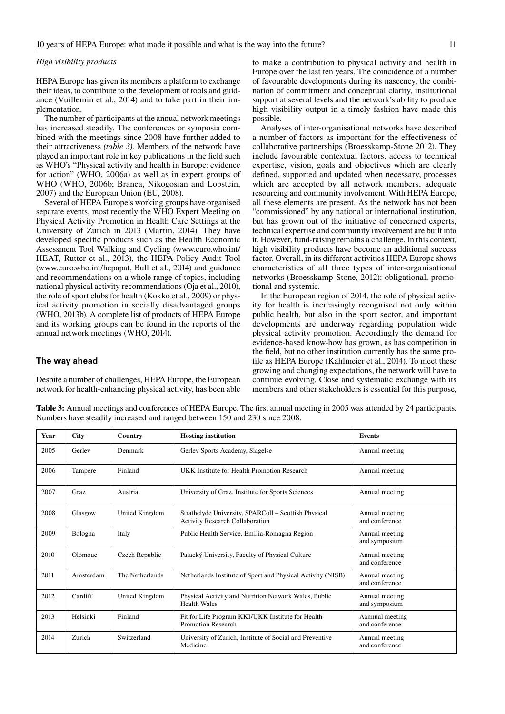# *High visibility products*

HEPA Europe has given its members a platform to exchange their ideas, to contribute to the development of tools and guidance (Vuillemin et al., 2014) and to take part in their implementation.

The number of participants at the annual network meetings has increased steadily. The conferences or symposia combined with the meetings since 2008 have further added to their attractiveness *(table 3)*. Members of the network have played an important role in key publications in the field such as WHO's "Physical activity and health in Europe: evidence for action" (WHO, 2006a) as well as in expert groups of WHO (WHO, 2006b; Branca, Nikogosian and Lobstein, 2007) and the European Union (EU, 2008).

Several of HEPA Europe's working groups have organised separate events, most recently the WHO Expert Meeting on Physical Activity Promotion in Health Care Settings at the University of Zurich in 2013 (Martin, 2014). They have developed specific products such as the Health Economic Assessment Tool Walking and Cycling (www.euro.who.int/ HEAT, Rutter et al., 2013), the HEPA Policy Audit Tool (www.euro.who.int/hepapat, Bull et al., 2014) and guidance and recommendations on a whole range of topics, including national physical activity recommendations (Oja et al., 2010), the role of sport clubs for health (Kokko et al., 2009) or physical activity promotion in socially disadvantaged groups (WHO, 2013b). A complete list of products of HEPA Europe and its working groups can be found in the reports of the annual network meetings (WHO, 2014).

## **The way ahead**

Despite a number of challenges, HEPA Europe, the European network for health-enhancing physical activity, has been able

to make a contribution to physical activity and health in Europe over the last ten years. The coincidence of a number of favourable developments during its nascency, the combination of commitment and conceptual clarity, institutional support at several levels and the network's ability to produce high visibility output in a timely fashion have made this possible.

Analyses of inter-organisational networks have described a number of factors as important for the effectiveness of collaborative partnerships (Broesskamp-Stone 2012). They include favourable contextual factors, access to technical expertise, vision, goals and objectives which are clearly defined, supported and updated when necessary, processes which are accepted by all network members, adequate resourcing and community involvement. With HEPA Europe, all these elements are present. As the network has not been "commissioned" by any national or international institution, but has grown out of the initiative of concerned experts, technical expertise and community involvement are built into it. However, fund-raising remains a challenge. In this context, high visibility products have become an additional success factor. Overall, in its different activities HEPA Europe shows characteristics of all three types of inter-organisational networks (Broesskamp-Stone, 2012): obligational, promotional and systemic.

In the European region of 2014, the role of physical activity for health is increasingly recognised not only within public health, but also in the sport sector, and important developments are underway regarding population wide physical activity promotion. Accordingly the demand for evidence-based know-how has grown, as has competition in the field, but no other institution currently has the same profile as HEPA Europe (Kahlmeier et al., 2014). To meet these growing and changing expectations, the network will have to continue evolving. Close and systematic exchange with its members and other stakeholders is essential for this purpose,

**Table 3:** Annual meetings and conferences of HEPA Europe. The first annual meeting in 2005 was attended by 24 participants. Numbers have steadily increased and ranged between 150 and 230 since 2008.

| Year | <b>City</b> | Country         | <b>Hosting institution</b>                                                                     | <b>Events</b>                     |
|------|-------------|-----------------|------------------------------------------------------------------------------------------------|-----------------------------------|
| 2005 | Gerley      | Denmark         | Gerlev Sports Academy, Slagelse                                                                | Annual meeting                    |
| 2006 | Tampere     | Finland         | UKK Institute for Health Promotion Research                                                    | Annual meeting                    |
| 2007 | <b>Graz</b> | Austria         | University of Graz, Institute for Sports Sciences                                              | Annual meeting                    |
| 2008 | Glasgow     | United Kingdom  | Strathclyde University, SPARColl – Scottish Physical<br><b>Activity Research Collaboration</b> | Annual meeting<br>and conference  |
| 2009 | Bologna     | Italy           | Public Health Service, Emilia-Romagna Region                                                   | Annual meeting<br>and symposium   |
| 2010 | Olomouc     | Czech Republic  | Palacký University, Faculty of Physical Culture                                                | Annual meeting<br>and conference  |
| 2011 | Amsterdam   | The Netherlands | Netherlands Institute of Sport and Physical Activity (NISB)                                    | Annual meeting<br>and conference  |
| 2012 | Cardiff     | United Kingdom  | Physical Activity and Nutrition Network Wales, Public<br><b>Health Wales</b>                   | Annual meeting<br>and symposium   |
| 2013 | Helsinki    | Finland         | Fit for Life Program KKI/UKK Institute for Health<br><b>Promotion Research</b>                 | Aannual meeting<br>and conference |
| 2014 | Zurich      | Switzerland     | University of Zurich, Institute of Social and Preventive<br>Medicine                           | Annual meeting<br>and conference  |